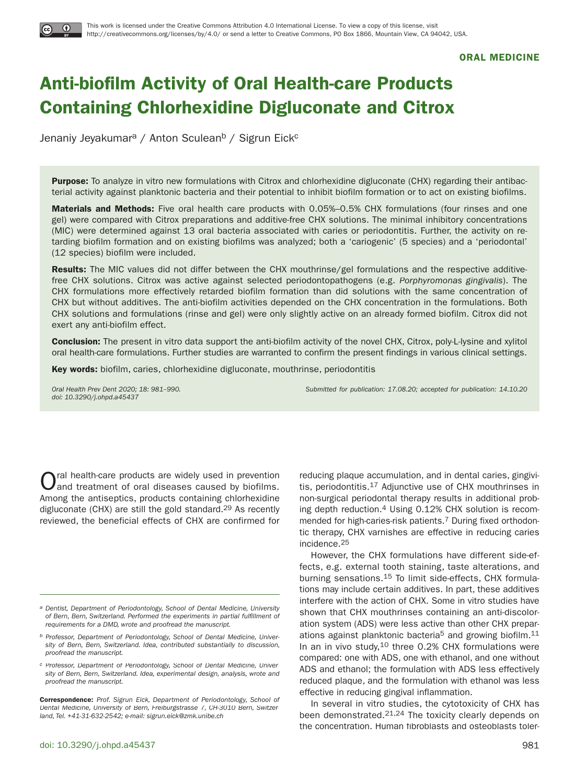

#### **ORAL MEDICINE**

# **Anti-biofilm Activity of Oral Health-care Products Containing Chlorhexidine Digluconate and Citrox**

Jenaniy Jeyakumar<sup>a</sup> / Anton Sculean<sup>b</sup> / Sigrun Eick<sup>c</sup>

**Purpose:** To analyze in vitro new formulations with Citrox and chlorhexidine digluconate (CHX) regarding their antibacterial activity against planktonic bacteria and their potential to inhibit biofilm formation or to act on existing biofilms.

**Materials and Methods:** Five oral health care products with 0.05%–0.5% CHX formulations (four rinses and one gel) were compared with Citrox preparations and additive-free CHX solutions. The minimal inhibitory concentrations (MIC) were determined against 13 oral bacteria associated with caries or periodontitis. Further, the activity on retarding biofilm formation and on existing biofilms was analyzed; both a 'cariogenic' (5 species) and a 'periodontal' (12 species) biofilm were included.

**Results:** The MIC values did not differ between the CHX mouthrinse/gel formulations and the respective additivefree CHX solutions. Citrox was active against selected periodontopathogens (e.g. Porphyromonas gingivalis). The CHX formulations more effectively retarded biofilm formation than did solutions with the same concentration of CHX but without additives. The anti-biofilm activities depended on the CHX concentration in the formulations. Both CHX solutions and formulations (rinse and gel) were only slightly active on an already formed biofilm. Citrox did not exert any anti-biofilm effect.

**Conclusion:** The present in vitro data support the anti-biofilm activity of the novel CHX, Citrox, poly-L-lysine and xylitol oral health-care formulations. Further studies are warranted to confirm the present findings in various clinical settings.

**Key words:** biofilm, caries, chlorhexidine digluconate, mouthrinse, periodontitis

doi: 10.3290/j.ohpd.a45437

Oral Health Prev Dent 2020; 18: 981–990. Submitted for publication: 17.08.20; accepted for publication: 14.10.20

Oral health-care products are widely used in prevention and treatment of oral diseases caused by biofilms. Among the antiseptics, products containing chlorhexidine digluconate (CHX) are still the gold standard.29 As recently reviewed, the beneficial effects of CHX are confirmed for

**Correspondence:** Prof. Sigrun Eick, Department of Periodontology, School of Dental Medicine, University of Bern, Freiburgstrasse 7, CH-3010 Bern, Switzerland, Tel. +41-31-632-2542; e-mail: sigrun.eick@zmk.unibe.ch

reducing plaque accumulation, and in dental caries, gingivitis, periodontitis.17 Adjunctive use of CHX mouthrinses in non-surgical periodontal therapy results in additional probing depth reduction. $4$  Using 0.12% CHX solution is recommended for high-caries-risk patients.7 During fixed orthodontic therapy, CHX varnishes are effective in reducing caries incidence.25

However, the CHX formulations have different side-effects, e.g. external tooth staining, taste alterations, and burning sensations.15 To limit side-effects, CHX formulations may include certain additives. In part, these additives interfere with the action of CHX. Some in vitro studies have shown that CHX mouthrinses containing an anti-discoloration system (ADS) were less active than other CHX preparations against planktonic bacteria<sup>5</sup> and growing biofilm.<sup>11</sup> In an in vivo study, $10$  three 0.2% CHX formulations were compared: one with ADS, one with ethanol, and one without ADS and ethanol; the formulation with ADS less effectively reduced plaque, and the formulation with ethanol was less effective in reducing gingival inflammation.

In several in vitro studies, the cytotoxicity of CHX has been demonstrated.21,24 The toxicity clearly depends on the concentration. Human fibroblasts and osteoblasts toler-

a Dentist, Department of Periodontology, School of Dental Medicine, University of Bern, Bern, Switzerland. Performed the experiments in partial fulfillment of requirements for a DMD, wrote and proofread the manuscript.

b Professor, Department of Periodontology, School of Dental Medicine, University of Bern, Bern, Switzerland. Idea, contributed substantially to discussion, proofread the manuscript.

c Professor, Department of Periodontology, School of Dental Medicine, University of Bern, Bern, Switzerland. Idea, experimental design, analysis, wrote and proofread the manuscript.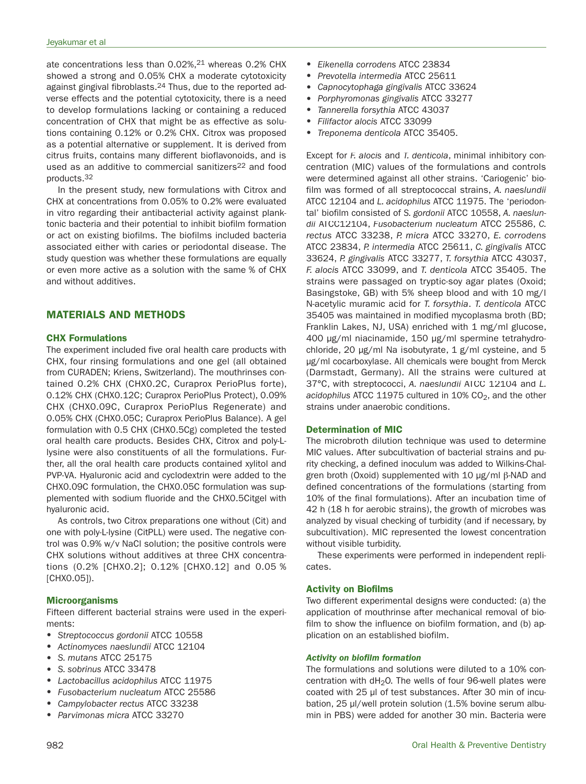ate concentrations less than 0.02%,21 whereas 0.2% CHX showed a strong and 0.05% CHX a moderate cytotoxicity against gingival fibroblasts.<sup>24</sup> Thus, due to the reported adverse effects and the potential cytotoxicity, there is a need to develop formulations lacking or containing a reduced concentration of CHX that might be as effective as solutions containing 0.12% or 0.2% CHX. Citrox was proposed as a potential alternative or supplement. It is derived from citrus fruits, contains many different bioflavonoids, and is used as an additive to commercial sanitizers<sup>22</sup> and food products.32

In the present study, new formulations with Citrox and CHX at concentrations from 0.05% to 0.2% were evaluated in vitro regarding their antibacterial activity against planktonic bacteria and their potential to inhibit biofilm formation or act on existing biofilms. The biofilms included bacteria associated either with caries or periodontal disease. The study question was whether these formulations are equally or even more active as a solution with the same % of CHX and without additives.

# **MATERIALS AND METHODS**

# **CHX Formulations**

The experiment included five oral health care products with CHX, four rinsing formulations and one gel (all obtained from CURADEN; Kriens, Switzerland). The mouthrinses contained 0.2% CHX (CHX0.2C, Curaprox PerioPlus forte), 0.12% CHX (CHX0.12C; Curaprox PerioPlus Protect), 0.09% CHX (CHX0.09C, Curaprox PerioPlus Regenerate) and 0.05% CHX (CHX0.05C; Curaprox PerioPlus Balance). A gel formulation with 0.5 CHX (CHX0.5Cg) completed the tested oral health care products. Besides CHX, Citrox and poly-Llysine were also constituents of all the formulations. Further, all the oral health care products contained xylitol and PVP-VA. Hyaluronic acid and cyclodextrin were added to the CHX0.09C formulation, the CHX0.05C formulation was supplemented with sodium fluoride and the CHX0.5Citgel with hyaluronic acid.

As controls, two Citrox preparations one without (Cit) and one with poly-L-lysine (CitPLL) were used. The negative control was 0.9% w/v NaCl solution; the positive controls were CHX solutions without additives at three CHX concentrations (0.2% [CHX0.2]; 0.12% [CHX0.12] and 0.05 % [CHX0.05]).

# **Microorganisms**

Fifteen different bacterial strains were used in the experiments:

- Streptococcus gordonii ATCC 10558
- Actinomyces naeslundii ATCC 12104
- S. mutans ATCC 25175
- S. sobrinus ATCC 33478
- Lactobacillus acidophilus ATCC 11975
- Fusobacterium nucleatum ATCC 25586
- Campylobacter rectus ATCC 33238
- Parvimonas micra ATCC 33270
- Eikenella corrodens ATCC 23834
- Prevotella intermedia ATCC 25611
- Capnocytophaga gingivalis ATCC 33624
- Porphyromonas gingivalis ATCC 33277
- Tannerella forsythia ATCC 43037
- Filifactor alocis ATCC 33099
- Treponema denticola ATCC 35405.

Except for F. alocis and T. denticola, minimal inhibitory concentration (MIC) values of the formulations and controls were determined against all other strains. 'Cariogenic' biofilm was formed of all streptococcal strains, A. naeslundii ATCC 12104 and L. acidophilus ATCC 11975. The 'periodontal' biofilm consisted of S. gordonii ATCC 10558, A. naeslundii ATCC12104, Fusobacterium nucleatum ATCC 25586, C. rectus ATCC 33238, P. micra ATCC 33270, E. corrodens ATCC 23834, P. intermedia ATCC 25611, C. gingivalis ATCC 33624, P. gingivalis ATCC 33277, T. forsythia ATCC 43037, F. alocis ATCC 33099, and T. denticola ATCC 35405. The strains were passaged on tryptic-soy agar plates (Oxoid; Basingstoke, GB) with 5% sheep blood and with 10 mg/l N-acetylic muramic acid for T. forsythia. T. denticola ATCC 35405 was maintained in modified mycoplasma broth (BD; Franklin Lakes, NJ, USA) enriched with 1 mg/ml glucose, 400 μg/ml niacinamide, 150 μg/ml spermine tetrahydrochloride, 20 μg/ml Na isobutyrate, 1 g/ml cysteine, and 5 μg/ml cocarboxylase. All chemicals were bought from Merck (Darmstadt, Germany). All the strains were cultured at 37°C, with streptococci, A. naeslundii ATCC 12104 and L. acidophilus ATCC 11975 cultured in 10% CO<sub>2</sub>, and the other strains under anaerobic conditions.

# **Determination of MIC**

The microbroth dilution technique was used to determine MIC values. After subcultivation of bacterial strains and purity checking, a defined inoculum was added to Wilkins-Chalgren broth (Oxoid) supplemented with 10  $\mu$ g/ml  $\beta$ -NAD and defined concentrations of the formulations (starting from 10% of the final formulations). After an incubation time of 42 h (18 h for aerobic strains), the growth of microbes was analyzed by visual checking of turbidity (and if necessary, by subcultivation). MIC represented the lowest concentration without visible turbidity.

These experiments were performed in independent replicates.

# **Activity on Biofilms**

Two different experimental designs were conducted: (a) the application of mouthrinse after mechanical removal of biofilm to show the influence on biofilm formation, and (b) application on an established biofilm.

#### *Activity on biofilm formation*

The formulations and solutions were diluted to a 10% concentration with  $dH<sub>2</sub>O$ . The wells of four 96-well plates were coated with 25 μl of test substances. After 30 min of incubation, 25 μl/well protein solution (1.5% bovine serum albumin in PBS) were added for another 30 min. Bacteria were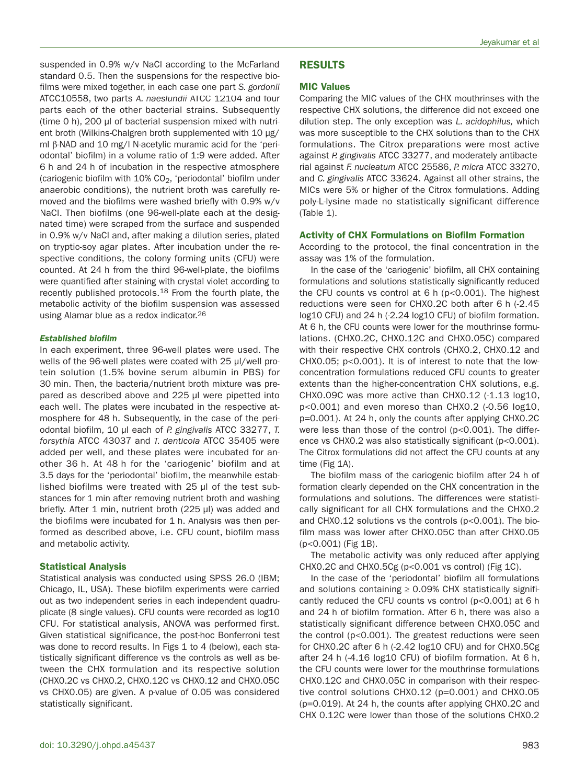suspended in 0.9% w/v NaCl according to the McFarland standard 0.5. Then the suspensions for the respective biofilms were mixed together, in each case one part S. gordonii ATCC10558, two parts A. naeslundii ATCC 12104 and four parts each of the other bacterial strains. Subsequently (time 0 h), 200 μl of bacterial suspension mixed with nutrient broth (Wilkins-Chalgren broth supplemented with 10 μg/ ml  $\beta$ -NAD and 10 mg/l N-acetylic muramic acid for the 'periodontal' biofilm) in a volume ratio of 1:9 were added. After 6 h and 24 h of incubation in the respective atmosphere (cariogenic biofilm with 10% CO<sub>2</sub>, 'periodontal' biofilm under anaerobic conditions), the nutrient broth was carefully removed and the biofilms were washed briefly with 0.9% w/v NaCl. Then biofilms (one 96-well-plate each at the designated time) were scraped from the surface and suspended in 0.9% w/v NaCl and, after making a dilution series, plated on tryptic-soy agar plates. After incubation under the respective conditions, the colony forming units (CFU) were counted. At 24 h from the third 96-well-plate, the biofilms were quantified after staining with crystal violet according to recently published protocols.18 From the fourth plate, the metabolic activity of the biofilm suspension was assessed using Alamar blue as a redox indicator.26

#### *Established biofilm*

In each experiment, three 96-well plates were used. The wells of the 96-well plates were coated with 25 μl/well protein solution (1.5% bovine serum albumin in PBS) for 30 min. Then, the bacteria/nutrient broth mixture was prepared as described above and 225 μl were pipetted into each well. The plates were incubated in the respective atmosphere for 48 h. Subsequently, in the case of the periodontal biofilm, 10 μl each of P. gingivalis ATCC 33277, T. forsythia ATCC 43037 and T. denticola ATCC 35405 were added per well, and these plates were incubated for another 36 h. At 48 h for the 'cariogenic' biofilm and at 3.5 days for the 'periodontal' biofilm, the meanwhile established biofilms were treated with 25 μl of the test substances for 1 min after removing nutrient broth and washing briefly. After 1 min, nutrient broth (225 μl) was added and the biofilms were incubated for 1 h. Analysis was then performed as described above, i.e. CFU count, biofilm mass and metabolic activity.

#### **Statistical Analysis**

Statistical analysis was conducted using SPSS 26.0 (IBM; Chicago, IL, USA). These biofilm experiments were carried out as two independent series in each independent quadruplicate (8 single values). CFU counts were recorded as log10 CFU. For statistical analysis, ANOVA was performed first. Given statistical significance, the post-hoc Bonferroni test was done to record results. In Figs 1 to 4 (below), each statistically significant difference vs the controls as well as between the CHX formulation and its respective solution (CHX0.2C vs CHX0.2, CHX0.12C vs CHX0.12 and CHX0.05C vs CHX0.05) are given. A p-value of 0.05 was considered statistically significant.

# **RESULTS**

## **MIC Values**

Comparing the MIC values of the CHX mouthrinses with the respective CHX solutions, the difference did not exceed one dilution step. The only exception was L. acidophilus, which was more susceptible to the CHX solutions than to the CHX formulations. The Citrox preparations were most active against P. gingivalis ATCC 33277, and moderately antibacterial against F. nucleatum ATCC 25586, P. micra ATCC 33270, and C. gingivalis ATCC 33624. Against all other strains, the MICs were 5% or higher of the Citrox formulations. Adding poly-L-lysine made no statistically significant difference (Table 1).

#### **Activity of CHX Formulations on Biofilm Formation**

According to the protocol, the final concentration in the assay was 1% of the formulation.

In the case of the 'cariogenic' biofilm, all CHX containing formulations and solutions statistically significantly reduced the CFU counts vs control at 6 h (p<0.001). The highest reductions were seen for CHX0.2C both after 6 h (-2.45 log10 CFU) and 24 h (-2.24 log10 CFU) of biofilm formation. At 6 h, the CFU counts were lower for the mouthrinse formulations. (CHX0.2C, CHX0.12C and CHX0.05C) compared with their respective CHX controls (CHX0.2, CHX0.12 and CHX0.05; p<0.001). It is of interest to note that the lowconcentration formulations reduced CFU counts to greater extents than the higher-concentration CHX solutions, e.g. CHX0.09C was more active than CHX0.12 (-1.13 log10, p<0.001) and even moreso than CHX0.2 (-0.56 log10, p=0.001). At 24 h, only the counts after applying CHX0.2C were less than those of the control (p<0.001). The difference vs CHX0.2 was also statistically significant (p<0.001). The Citrox formulations did not affect the CFU counts at any time (Fig 1A).

The biofilm mass of the cariogenic biofilm after 24 h of formation clearly depended on the CHX concentration in the formulations and solutions. The differences were statistically significant for all CHX formulations and the CHX0.2 and CHX0.12 solutions vs the controls (p<0.001). The biofilm mass was lower after CHX0.05C than after CHX0.05 (p<0.001) (Fig 1B).

The metabolic activity was only reduced after applying CHX0.2C and CHX0.5Cg (p<0.001 vs control) (Fig 1C).

In the case of the 'periodontal' biofilm all formulations and solutions containing  $\geq$  0.09% CHX statistically significantly reduced the CFU counts vs control (p<0.001) at 6 h and 24 h of biofilm formation. After 6 h, there was also a statistically significant difference between CHX0.05C and the control (p<0.001). The greatest reductions were seen for CHX0.2C after 6 h (-2.42 log10 CFU) and for CHX0.5Cg after 24 h (-4.16 log10 CFU) of biofilm formation. At 6 h, the CFU counts were lower for the mouthrinse formulations CHX0.12C and CHX0.05C in comparison with their respective control solutions CHX0.12 (p=0.001) and CHX0.05 (p=0.019). At 24 h, the counts after applying CHX0.2C and CHX 0.12C were lower than those of the solutions CHX0.2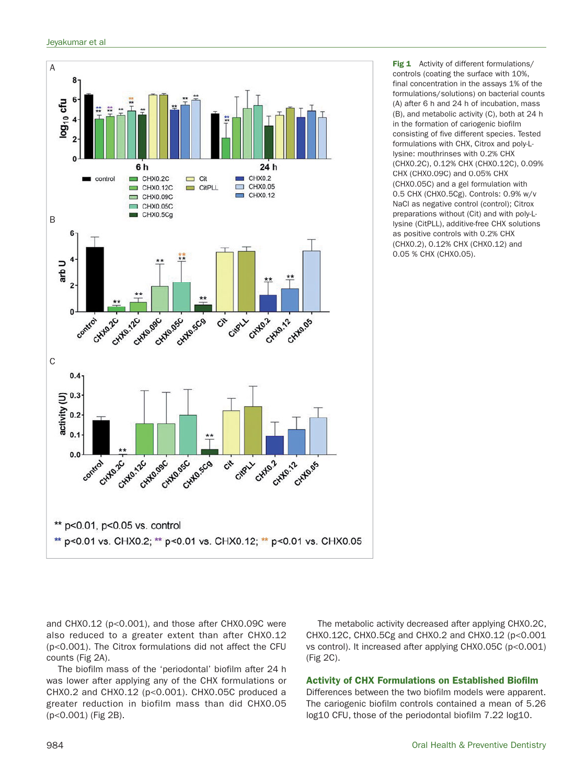

**Fig 1** Activity of different formulations/ controls (coating the surface with 10%, final concentration in the assays 1% of the formulations/solutions) on bacterial counts (A) after 6 h and 24 h of incubation, mass (B), and metabolic activity (C), both at 24 h in the formation of cariogenic biofilm consisting of five different species. Tested formulations with CHX, Citrox and poly-Llysine: mouthrinses with 0.2% CHX (CHX0.2C), 0.12% CHX (CHX0.12C), 0.09% CHX (CHX0.09C) and 0.05% CHX (CHX0.05C) and a gel formulation with 0.5 CHX (CHX0.5Cg). Controls: 0.9% w/v NaCl as negative control (control); Citrox preparations without (Cit) and with poly-Llysine (CitPLL), additive-free CHX solutions as positive controls with 0.2% CHX (CHX0.2), 0.12% CHX (CHX0.12) and 0.05 % CHX (CHX0.05).

and CHX0.12 (p<0.001), and those after CHX0.09C were also reduced to a greater extent than after CHX0.12 (p<0.001). The Citrox formulations did not affect the CFU counts (Fig 2A).

The biofilm mass of the 'periodontal' biofilm after 24 h was lower after applying any of the CHX formulations or CHX0.2 and CHX0.12 (p<0.001). CHX0.05C produced a greater reduction in biofilm mass than did CHX0.05 (p<0.001) (Fig 2B).

The metabolic activity decreased after applying CHX0.2C, CHX0.12C, CHX0.5Cg and CHX0.2 and CHX0.12 (p<0.001 vs control). It increased after applying CHX0.05C (p<0.001) (Fig 2C).

# **Activity of CHX Formulations on Established Biofilm**

Differences between the two biofilm models were apparent. The cariogenic biofilm controls contained a mean of 5.26 log10 CFU, those of the periodontal biofilm 7.22 log10.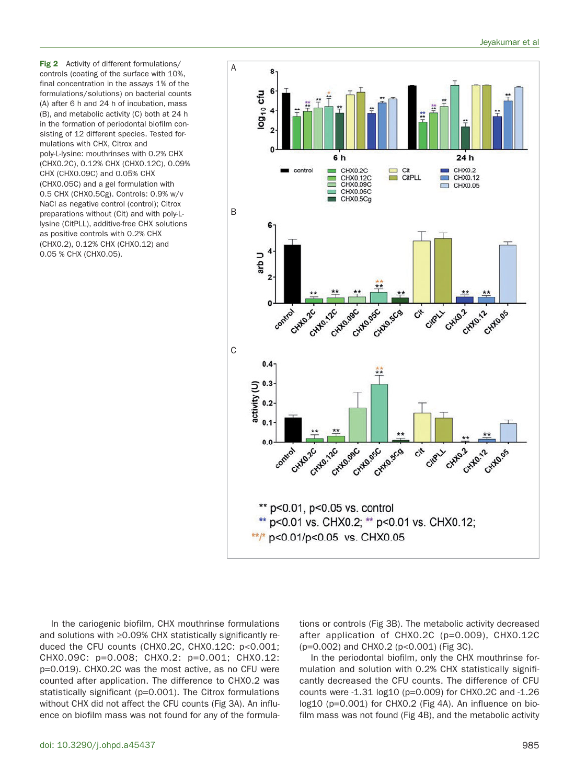**Fig 2** Activity of different formulations/ controls (coating of the surface with 10%, final concentration in the assays 1% of the formulations/solutions) on bacterial counts (A) after 6 h and 24 h of incubation, mass (B), and metabolic activity (C) both at 24 h in the formation of periodontal biofilm consisting of 12 different species. Tested formulations with CHX, Citrox and poly-L-lysine: mouthrinses with 0.2% CHX (CHX0.2C), 0.12% CHX (CHX0.12C), 0.09% CHX (CHX0.09C) and 0.05% CHX (CHX0.05C) and a gel formulation with 0.5 CHX (CHX0.5Cg). Controls: 0.9% w/v NaCl as negative control (control); Citrox preparations without (Cit) and with poly-Llysine (CitPLL), additive-free CHX solutions as positive controls with 0.2% CHX (CHX0.2), 0.12% CHX (CHX0.12) and 0.05 % CHX (CHX0.05).



In the cariogenic biofilm, CHX mouthrinse formulations and solutions with ≥0.09% CHX statistically significantly reduced the CFU counts (CHX0.2C, CHX0.12C: p<0.001; CHX0.09C: p=0.008; CHX0.2: p=0.001; CHX0.12: p=0.019). CHX0.2C was the most active, as no CFU were counted after application. The difference to CHX0.2 was statistically significant (p=0.001). The Citrox formulations without CHX did not affect the CFU counts (Fig 3A). An influence on biofilm mass was not found for any of the formulations or controls (Fig 3B). The metabolic activity decreased after application of CHX0.2C (p=0.009), CHX0.12C (p=0.002) and CHX0.2 (p<0.001) (Fig 3C).

In the periodontal biofilm, only the CHX mouthrinse formulation and solution with 0.2% CHX statistically significantly decreased the CFU counts. The difference of CFU counts were -1.31 log10 (p=0.009) for CHX0.2C and -1.26 log10 (p=0.001) for CHX0.2 (Fig 4A). An influence on biofilm mass was not found (Fig 4B), and the metabolic activity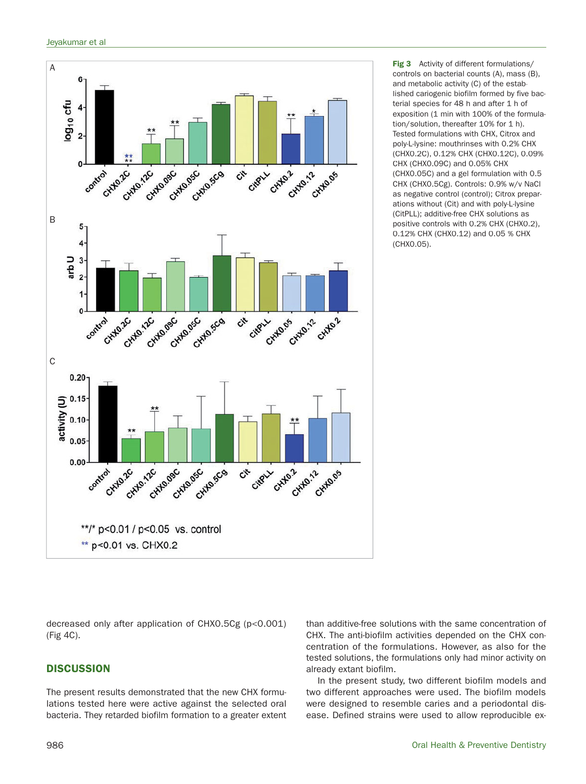

**Fig 3** Activity of different formulations/ controls on bacterial counts (A), mass (B), and metabolic activity (C) of the established cariogenic biofilm formed by five bacterial species for 48 h and after 1 h of exposition (1 min with 100% of the formulation/solution, thereafter 10% for 1 h). Tested formulations with CHX, Citrox and poly-L-lysine: mouthrinses with 0.2% CHX (CHX0.2C), 0.12% CHX (CHX0.12C), 0.09% CHX (CHX0.09C) and 0.05% CHX (CHX0.05C) and a gel formulation with 0.5 CHX (CHX0.5Cg). Controls: 0.9% w/v NaCl as negative control (control); Citrox preparations without (Cit) and with poly-L-lysine (CitPLL); additive-free CHX solutions as positive controls with 0.2% CHX (CHX0.2), 0.12% CHX (CHX0.12) and 0.05 % CHX (CHX0.05).

decreased only after application of CHX0.5Cg (p<0.001) (Fig 4C).

# **DISCUSSION**

The present results demonstrated that the new CHX formulations tested here were active against the selected oral bacteria. They retarded biofilm formation to a greater extent than additive-free solutions with the same concentration of CHX. The anti-biofilm activities depended on the CHX concentration of the formulations. However, as also for the tested solutions, the formulations only had minor activity on already extant biofilm.

In the present study, two different biofilm models and two different approaches were used. The biofilm models were designed to resemble caries and a periodontal disease. Defined strains were used to allow reproducible ex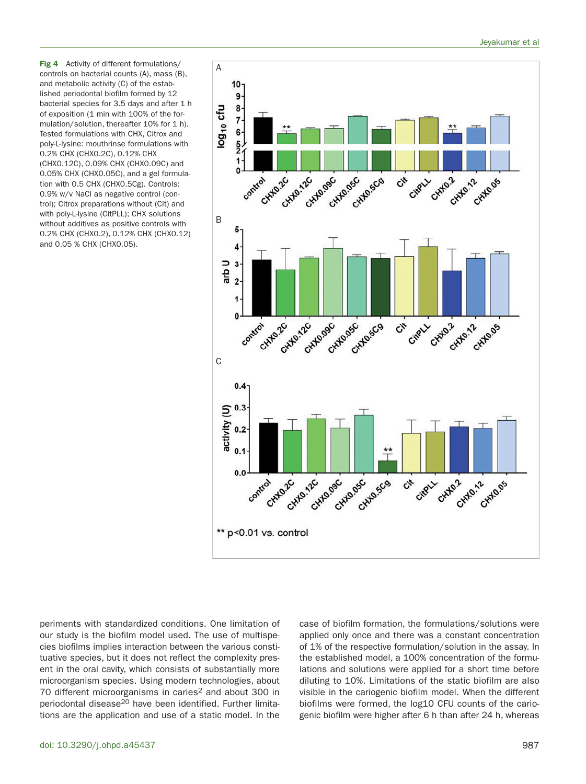**Fig 4** Activity of different formulations/ controls on bacterial counts (A), mass (B), and metabolic activity (C) of the established periodontal biofilm formed by 12 bacterial species for 3.5 days and after 1 h of exposition (1 min with 100% of the formulation/solution, thereafter 10% for 1 h). Tested formulations with CHX, Citrox and poly-L-lysine: mouthrinse formulations with 0.2% CHX (CHX0.2C), 0.12% CHX (CHX0.12C), 0.09% CHX (CHX0.09C) and 0.05% CHX (CHX0.05C), and a gel formulation with 0.5 CHX (CHX0.5Cg). Controls: 0.9% w/v NaCl as negative control (control); Citrox preparations without (Cit) and with poly-L-lysine (CitPLL); CHX solutions without additives as positive controls with 0.2% CHX (CHX0.2), 0.12% CHX (CHX0.12) and 0.05 % CHX (CHX0.05).



periments with standardized conditions. One limitation of our study is the biofilm model used. The use of multispecies biofilms implies interaction between the various constituative species, but it does not reflect the complexity present in the oral cavity, which consists of substantially more microorganism species. Using modern technologies, about 70 different microorganisms in caries<sup>2</sup> and about 300 in periodontal disease<sup>20</sup> have been identified. Further limitations are the application and use of a static model. In the

case of biofilm formation, the formulations/solutions were applied only once and there was a constant concentration of 1% of the respective formulation/solution in the assay. In the established model, a 100% concentration of the formulations and solutions were applied for a short time before diluting to 10%. Limitations of the static biofilm are also visible in the cariogenic biofilm model. When the different biofilms were formed, the log10 CFU counts of the cariogenic biofilm were higher after 6 h than after 24 h, whereas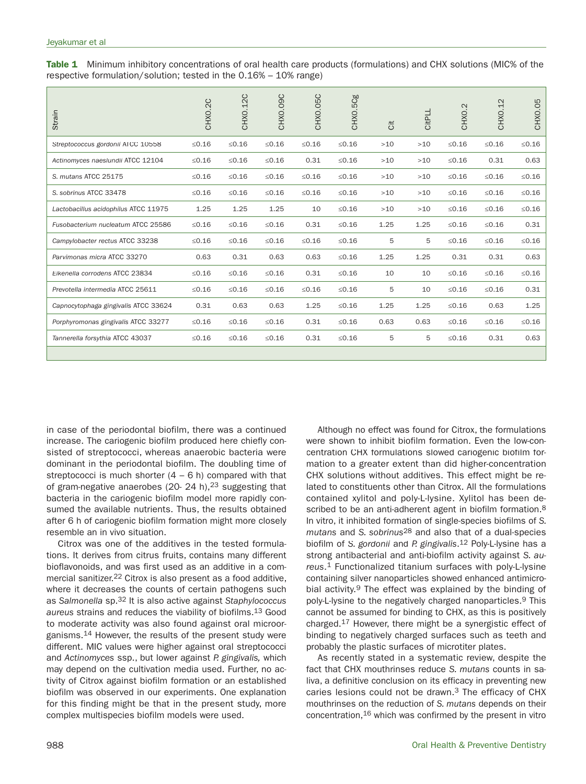**Table 1** Minimum inhibitory concentrations of oral health care products (formulations) and CHX solutions (MIC% of the respective formulation/solution; tested in the 0.16% – 10% range)

| Strain                               | CHXO.2C  | CHXO.12C | CHXO.O9C    | CHXO.05C | CHXO.5Cg | ä     | CitPLL | CHX0.2  | CHX0.12     | CHXO.05 |
|--------------------------------------|----------|----------|-------------|----------|----------|-------|--------|---------|-------------|---------|
| Streptococcus gordonii ATCC 10558    | $≤0.16$  | $≤0.16$  | $≤0.16$     | $≤0.16$  | $≤0.16$  | $>10$ | $>10$  | $≤0.16$ | $≤0.16$     | $≤0.16$ |
| Actinomyces naeslundii ATCC 12104    | $≤0.16$  | $≤0.16$  | $≤0.16$     | 0.31     | $≤0.16$  | $>10$ | $>10$  | $≤0.16$ | 0.31        | 0.63    |
| S. mutans ATCC 25175                 | ≤ $0.16$ | $≤0.16$  | $≤0.16$     | $≤0.16$  | $≤0.16$  | $>10$ | $>10$  | $≤0.16$ | $≤0.16$     | $≤0.16$ |
| S. sobrinus ATCC 33478               | ≤ $0.16$ | $≤0.16$  | $≤0.16$     | $≤0.16$  | $≤0.16$  | $>10$ | $>10$  | $≤0.16$ | $≤0.16$     | $≤0.16$ |
| Lactobacillus acidophilus ATCC 11975 | 1.25     | 1.25     | 1.25        | 10       | $≤0.16$  | $>10$ | $>10$  | $≤0.16$ | $≤0.16$     | $≤0.16$ |
| Fusobacterium nucleatum ATCC 25586   | $≤0.16$  | $≤0.16$  | $\leq 0.16$ | 0.31     | $≤0.16$  | 1.25  | 1.25   | $≤0.16$ | $≤0.16$     | 0.31    |
| Campylobacter rectus ATCC 33238      | ≤ $0.16$ | $≤0.16$  | $≤0.16$     | $≤0.16$  | $≤0.16$  | 5     | 5      | $≤0.16$ | $\leq 0.16$ | $≤0.16$ |
| Parvimonas micra ATCC 33270          | 0.63     | 0.31     | 0.63        | 0.63     | $≤0.16$  | 1.25  | 1.25   | 0.31    | 0.31        | 0.63    |
| Eikenella corrodens ATCC 23834       | $≤0.16$  | $≤0.16$  | $≤0.16$     | 0.31     | $≤0.16$  | 10    | 10     | $≤0.16$ | $≤0.16$     | $≤0.16$ |
| Prevotella intermedia ATCC 25611     | ≤ $0.16$ | $≤0.16$  | $≤0.16$     | $≤0.16$  | $≤0.16$  | 5     | 10     | $≤0.16$ | $≤0.16$     | 0.31    |
| Capnocytophaga gingivalis ATCC 33624 | 0.31     | 0.63     | 0.63        | 1.25     | $≤0.16$  | 1.25  | 1.25   | $≤0.16$ | 0.63        | 1.25    |
| Porphyromonas gingivalis ATCC 33277  | $≤0.16$  | $≤0.16$  | $≤0.16$     | 0.31     | $≤0.16$  | 0.63  | 0.63   | $≤0.16$ | $≤0.16$     | $≤0.16$ |
| Tannerella forsythia ATCC 43037      | $≤0.16$  | $≤0.16$  | $≤0.16$     | 0.31     | $≤0.16$  | 5     | 5      | $≤0.16$ | 0.31        | 0.63    |
|                                      |          |          |             |          |          |       |        |         |             |         |

in case of the periodontal biofilm, there was a continued increase. The cariogenic biofilm produced here chiefly consisted of streptococci, whereas anaerobic bacteria were dominant in the periodontal biofilm. The doubling time of streptococci is much shorter  $(4 - 6 h)$  compared with that of gram-negative anaerobes (20- 24 h), <sup>23</sup> suggesting that bacteria in the cariogenic biofilm model more rapidly consumed the available nutrients. Thus, the results obtained after 6 h of cariogenic biofilm formation might more closely resemble an in vivo situation.

Citrox was one of the additives in the tested formulations. It derives from citrus fruits, contains many different bioflavonoids, and was first used as an additive in a commercial sanitizer.22 Citrox is also present as a food additive, where it decreases the counts of certain pathogens such as Salmonella sp.<sup>32</sup> It is also active against Staphylococcus aureus strains and reduces the viability of biofilms.13 Good to moderate activity was also found against oral microorganisms.14 However, the results of the present study were different. MIC values were higher against oral streptococci and Actinomyces ssp., but lower against P. gingivalis, which may depend on the cultivation media used. Further, no activity of Citrox against biofilm formation or an established biofilm was observed in our experiments. One explanation for this finding might be that in the present study, more complex multispecies biofilm models were used.

Although no effect was found for Citrox, the formulations were shown to inhibit biofilm formation. Even the low-concentration CHX formulations slowed cariogenic biofilm formation to a greater extent than did higher-concentration CHX solutions without additives. This effect might be related to constituents other than Citrox. All the formulations contained xylitol and poly-L-lysine. Xylitol has been described to be an anti-adherent agent in biofilm formation.<sup>8</sup> In vitro, it inhibited formation of single-species biofilms of S. mutans and S. sobrinus<sup>28</sup> and also that of a dual-species biofilm of S. gordonii and P. gingivalis.<sup>12</sup> Poly-L-lysine has a strong antibacterial and anti-biofilm activity against S. aureus.1 Functionalized titanium surfaces with poly-L-lysine containing silver nanoparticles showed enhanced antimicrobial activity.9 The effect was explained by the binding of poly-L-lysine to the negatively charged nanoparticles.9 This cannot be assumed for binding to CHX, as this is positively charged.17 However, there might be a synergistic effect of binding to negatively charged surfaces such as teeth and probably the plastic surfaces of microtiter plates.

As recently stated in a systematic review, despite the fact that CHX mouthrinses reduce S. mutans counts in saliva, a definitive conclusion on its efficacy in preventing new caries lesions could not be drawn.3 The efficacy of CHX mouthrinses on the reduction of S. mutans depends on their concentration,16 which was confirmed by the present in vitro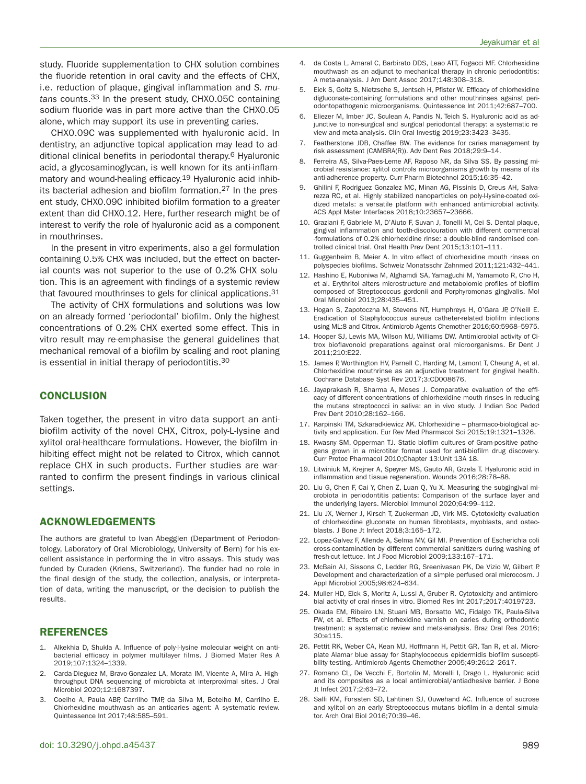study. Fluoride supplementation to CHX solution combines the fluoride retention in oral cavity and the effects of CHX, i.e. reduction of plaque, gingival inflammation and S. mutans counts.33 In the present study, CHX0.05C containing sodium fluoride was in part more active than the CHX0.05 alone, which may support its use in preventing caries.

CHX0.09C was supplemented with hyaluronic acid. In dentistry, an adjunctive topical application may lead to additional clinical benefits in periodontal therapy.6 Hyaluronic acid, a glycosaminoglycan, is well known for its anti-inflammatory and wound-healing efficacy.19 Hyaluronic acid inhibits bacterial adhesion and biofilm formation.<sup>27</sup> In the present study, CHX0.09C inhibited biofilm formation to a greater extent than did CHX0.12. Here, further research might be of interest to verify the role of hyaluronic acid as a component in mouthrinses.

In the present in vitro experiments, also a gel formulation containing 0.5% CHX was included, but the effect on bacterial counts was not superior to the use of 0.2% CHX solution. This is an agreement with findings of a systemic review that favoured mouthrinses to gels for clinical applications.31

The activity of CHX formulations and solutions was low on an already formed 'periodontal' biofilm. Only the highest concentrations of 0.2% CHX exerted some effect. This in vitro result may re-emphasise the general guidelines that mechanical removal of a biofilm by scaling and root planing is essential in initial therapy of periodontitis.30

#### **CONCLUSION**

Taken together, the present in vitro data support an antibiofilm activity of the novel CHX, Citrox, poly-L-lysine and xylitol oral-healthcare formulations. However, the biofilm inhibiting effect might not be related to Citrox, which cannot replace CHX in such products. Further studies are warranted to confirm the present findings in various clinical settings.

# **ACKNOWLEDGEMENTS**

The authors are grateful to Ivan Abegglen (Department of Periodontology, Laboratory of Oral Microbiology, University of Bern) for his excellent assistance in performing the in vitro assays. This study was funded by Curaden (Kriens, Switzerland). The funder had no role in the final design of the study, the collection, analysis, or interpretation of data, writing the manuscript, or the decision to publish the results.

# **REFERENCES**

- Alkekhia D, Shukla A. Influence of poly-l-lysine molecular weight on antibacterial efficacy in polymer multilayer films. J Biomed Mater Res A 2019;107:1324–1339.
- Carda-Dieguez M, Bravo-Gonzalez LA, Morata IM, Vicente A, Mira A. Highthroughput DNA sequencing of microbiota at interproximal sites. J Oral Microbiol 2020;12:1687397.
- 3. Coelho A, Paula ABP, Carrilho TMP, da Silva M, Botelho M, Carrilho E. Chlorhexidine mouthwash as an anticaries agent: A systematic review. Quintessence Int 2017;48:585–591.
- 4. da Costa L, Amaral C, Barbirato DDS, Leao ATT, Fogacci MF. Chlorhexidine mouthwash as an adjunct to mechanical therapy in chronic periodontitis: A meta-analysis. J Am Dent Assoc 2017;148:308–318.
- 5. Eick S, Goltz S, Nietzsche S, Jentsch H, Pfister W. Efficacy of chlorhexidine digluconate-containing formulations and other mouthrinses against periodontopathogenic microorganisms. Quintessence Int 2011;42:687–700.
- 6. Eliezer M, Imber JC, Sculean A, Pandis N, Teich S. Hyaluronic acid as adjunctive to non-surgical and surgical periodontal therapy: a systematic review and meta-analysis. Clin Oral Investig 2019;23:3423–3435.
- Featherstone JDB, Chaffee BW. The evidence for caries management by risk assessment (CAMBRA(R)). Adv Dent Res 2018;29:9–14.
- Ferreira AS, Silva-Paes-Leme AF, Raposo NR, da Silva SS. By passing microbial resistance: xylitol controls microorganisms growth by means of its anti-adherence property. Curr Pharm Biotechnol 2015;16:35–42.
- 9. Ghilini F, Rodriguez Gonzalez MC, Minan AG, Pissinis D, Creus AH, Salvarezza RC, et al. Highly stabilized nanoparticles on poly-l-lysine-coated oxidized metals: a versatile platform with enhanced antimicrobial activity. ACS Appl Mater Interfaces 2018;10:23657–23666.
- 10. Graziani F, Gabriele M, D'Aiuto F, Suvan J, Tonelli M, Cei S. Dental plaque, gingival inflammation and tooth-discolouration with different commercial -formulations of 0.2% chlorhexidine rinse: a double-blind randomised controlled clinical trial. Oral Health Prev Dent 2015;13:101–111.
- 11. Guggenheim B, Meier A. In vitro effect of chlorhexidine mouth rinses on polyspecies biofilms. Schweiz Monatsschr Zahnmed 2011;121:432–441.
- 12. Hashino E, Kuboniwa M, Alghamdi SA, Yamaguchi M, Yamamoto R, Cho H, et al. Erythritol alters microstructure and metabolomic profiles of biofilm composed of Streptococcus gordonii and Porphyromonas gingivalis. Mol Oral Microbiol 2013;28:435–451.
- 13. Hogan S, Zapotoczna M, Stevens NT, Humphreys H, O'Gara JP, O'Neill E. Eradication of Staphylococcus aureus catheter-related biofilm infections using ML:8 and Citrox. Antimicrob Agents Chemother 2016;60:5968–5975.
- 14. Hooper SJ, Lewis MA, Wilson MJ, Williams DW. Antimicrobial activity of Citrox bioflavonoid preparations against oral microorganisms. Br Dent J 2011;210:E22.
- 15. James P, Worthington HV, Parnell C, Harding M, Lamont T, Cheung A, et al. Chlorhexidine mouthrinse as an adjunctive treatment for gingival health. Cochrane Database Syst Rev 2017;3:CD008676.
- 16. Jayaprakash R, Sharma A, Moses J. Comparative evaluation of the efficacy of different concentrations of chlorhexidine mouth rinses in reducing the mutans streptococci in saliva: an in vivo study. J Indian Soc Pedod Prev Dent 2010;28:162–166.
- 17. Karpinski TM, Szkaradkiewicz AK. Chlorhexidine pharmaco-biological activity and application. Eur Rev Med Pharmacol Sci 2015;19:1321–1326.
- 18. Kwasny SM, Opperman TJ. Static biofilm cultures of Gram-positive pathogens grown in a microtiter format used for anti-biofilm drug discovery. Curr Protoc Pharmacol 2010;Chapter 13:Unit 13A 18.
- 19. Litwiniuk M, Krejner A, Speyrer MS, Gauto AR, Grzela T. Hyaluronic acid in inflammation and tissue regeneration. Wounds 2016;28:78–88.
- 20. Liu G, Chen F, Cai Y, Chen Z, Luan Q, Yu X. Measuring the subgingival microbiota in periodontitis patients: Comparison of the surface layer and the underlying layers. Microbiol Immunol 2020;64:99–112.
- 21. Liu JX, Werner J, Kirsch T, Zuckerman JD, Virk MS. Cytotoxicity evaluation of chlorhexidine gluconate on human fibroblasts, myoblasts, and osteoblasts. J Bone Jt Infect 2018;3:165–172.
- 22. Lopez-Galvez F, Allende A, Selma MV, Gil MI. Prevention of Escherichia coli cross-contamination by different commercial sanitizers during washing of fresh-cut lettuce. Int J Food Microbiol 2009;133:167–171.
- 23. McBain AJ, Sissons C, Ledder RG, Sreenivasan PK, De Vizio W, Gilbert P. Development and characterization of a simple perfused oral microcosm. J Appl Microbiol 2005;98:624–634.
- 24. Muller HD, Eick S, Moritz A, Lussi A, Gruber R. Cytotoxicity and antimicrobial activity of oral rinses in vitro. Biomed Res Int 2017;2017:4019723.
- 25. Okada EM, Ribeiro LN, Stuani MB, Borsatto MC, Fidalgo TK, Paula-Silva FW, et al. Effects of chlorhexidine varnish on caries during orthodontic treatment: a systematic review and meta-analysis. Braz Oral Res 2016; 30:e115.
- 26. Pettit RK, Weber CA, Kean MJ, Hoffmann H, Pettit GR, Tan R, et al. Microplate Alamar blue assay for Staphylococcus epidermidis biofilm susceptibility testing. Antimicrob Agents Chemother 2005;49:2612–2617.
- 27. Romano CL, De Vecchi E, Bortolin M, Morelli I, Drago L. Hyaluronic acid and its composites as a local antimicrobial/antiadhesive barrier. J Bone Jt Infect 2017;2:63–72.
- 28. Salli KM, Forssten SD, Lahtinen SJ, Ouwehand AC. Influence of sucrose and xylitol on an early Streptococcus mutans biofilm in a dental simulator. Arch Oral Biol 2016;70:39–46.